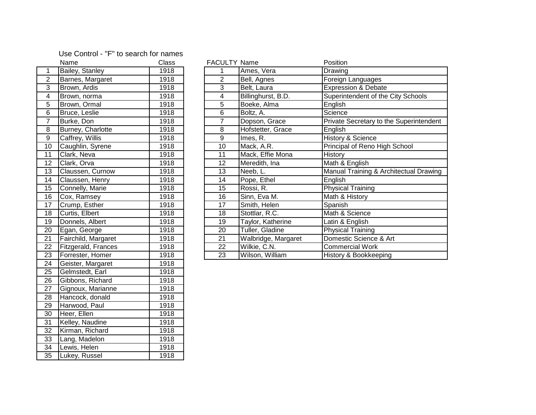## 1 Bailey, Stanley 1918 2 Barnes, Margaret 1918 3 Brown, Ardis 1918 4 Brown, norma 1918 5 Brown, Ormal 1918 6 Bruce, Leslie 1918 8 Burney, Charlotte 1918 9 Caffrey, Willis 1918 10 Caughlin, Syrene 1918

11 Clark, Neva<br>
1918 12 Clark, Orva 1918 13 Claussen, Curnow 1918 14 Claussen, Henry 1918 15 Connelly, Marie 1918 16 Cox, Ramsey 1918 17 Crump, Esther 1918 18 Curtis, Elbert 1918 19 Donnels, Albert 1918 20 Egan, George 1918 21 Fairchild, Margaret 1918 22 Fitzgerald, Frances 1918 23 Forrester, Homer 1918 24 Geister, Margaret 1918 25 Gelmstedt, Earl 1918 26 Gibbons, Richard 1918 27 Gignoux, Marianne 1918 28 Hancock, donald 1918 29 Harwood, Paul 1918 30 Heer, Ellen 1918 31 Kelley, Naudine 1918 32 Kirman, Richard 1918 33 Lang, Madelon 1918 34 Lewis, Helen 1918 35 Lukey, Russel 1918

|                 | <b>Class</b><br>Name |      | <b>FACULTY Name</b> |                     | Position                                |
|-----------------|----------------------|------|---------------------|---------------------|-----------------------------------------|
|                 | Bailey, Stanley      | 1918 |                     | Ames, Vera          | Drawing                                 |
| 2               | Barnes, Margaret     | 1918 | 2                   | Bell, Agnes         | Foreign Languages                       |
| 3               | Brown, Ardis         | 1918 | 3                   | Belt, Laura         | <b>Expression &amp; Debate</b>          |
| 4               | Brown, norma         | 1918 | 4                   | Billinghurst, B.D.  | Superintendent of the City Schools      |
| 5               | Brown, Ormal         | 1918 | 5                   | Boeke, Alma         | English                                 |
| 6               | Bruce, Leslie        | 1918 | 6                   | Boltz, A.           | Science                                 |
| 7               | Burke, Don           | 1918 | 7                   | Dopson, Grace       | Private Secretary to the Superintendent |
| 8               | Burney, Charlotte    | 1918 | 8                   | Hofstetter, Grace   | English                                 |
| 9               | Caffrey, Willis      | 1918 | 9                   | Imes, R.            | History & Science                       |
| 10              | Caughlin, Syrene     | 1918 | 10                  | Mack, A.R.          | Principal of Reno High School           |
| l 1             | Clark, Neva          | 1918 | 11                  | Mack, Effie Mona    | History                                 |
| l 2             | Clark, Orva          | 1918 | 12                  | Meredith, Ina       | Math & English                          |
| 13              | Claussen, Curnow     | 1918 | 13                  | Neeb, L.            | Manual Training & Architectual Drawing  |
| 14              | Claussen, Henry      | 1918 | 14                  | Pope, Ethel         | English                                 |
| 15              | Connelly, Marie      | 1918 | 15                  | Rossi, R.           | <b>Physical Training</b>                |
| 16              | Cox, Ramsey          | 1918 | 16                  | Sinn, Eva M.        | Math & History                          |
| 17              | Crump, Esther        | 1918 | 17                  | Smith, Helen        | Spanish                                 |
| 8               | Curtis, Elbert       | 1918 | 18                  | Stottlar, R.C.      | Math & Science                          |
| ۱9              | Donnels, Albert      | 1918 | 19                  | Taylor, Katherine   | Latin & English                         |
| 20              | Egan, George         | 1918 | 20                  | Tuller, Gladine     | <b>Physical Training</b>                |
| $\overline{21}$ | Fairchild, Margaret  | 1918 | 21                  | Walbridge, Margaret | Domestic Science & Art                  |
| $\overline{2}$  | Fitzgerald, Frances  | 1918 | 22                  | Wilkie, C.N.        | <b>Commercial Work</b>                  |
| $\overline{23}$ | Forrester, Homer     | 1918 | 23                  | Wilson, William     | History & Bookkeeping                   |

## Use Control - "F" to search for names